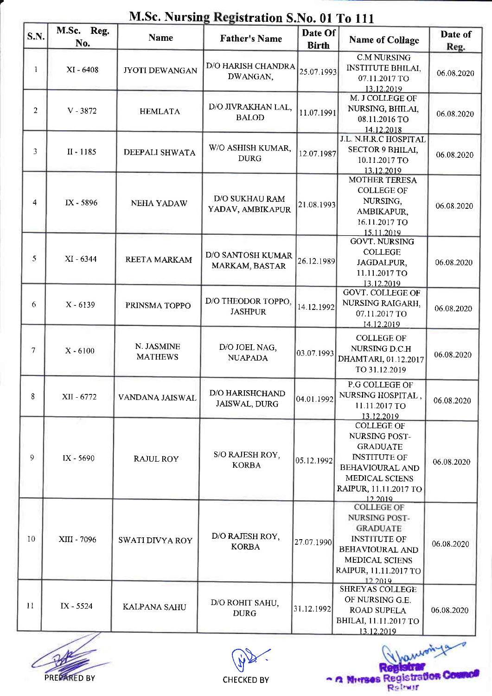

| M.Sc. Nursing Registration S.No. 01 To 111 |  |  |
|--------------------------------------------|--|--|
|--------------------------------------------|--|--|

| S.N.           | M.Sc.<br>Reg.<br>No. | <b>Name</b>                  | o<br><b>Father's Name</b>                  | Date Of<br><b>Birth</b> | <b>Name of Collage</b>                                                                                                                                       | Date of<br>Reg. |
|----------------|----------------------|------------------------------|--------------------------------------------|-------------------------|--------------------------------------------------------------------------------------------------------------------------------------------------------------|-----------------|
| 1              | XI - 6408            | <b>JYOTI DEWANGAN</b>        | D/O HARISH CHANDRA<br>DWANGAN,             | 25.07.1993              | <b>C.M NURSING</b><br><b>INSTITUTE BHILAI,</b><br>07.11.2017 TO<br>13.12.2019                                                                                | 06.08.2020      |
| $\overline{2}$ | $V - 3872$           | <b>HEMLATA</b>               | D/O JIVRAKHAN LAL,<br><b>BALOD</b>         | 11.07.1991              | M. J COLLEGE OF<br>NURSING, BHILAI,<br>08.11.2016 TO<br>14.12.2018                                                                                           | 06.08.2020      |
| 3              | II - 1185            | DEEPALI SHWATA               | W/O ASHISH KUMAR,<br><b>DURG</b>           | 12.07.1987              | J.L. N.H.R.C HOSPITAL<br><b>SECTOR 9 BHILAI,</b><br>10.11.2017 TO<br>13,12.2019                                                                              | 06.08.2020      |
| 4              | IX - 5896            | <b>NEHA YADAW</b>            | D/O SUKHAU RAM<br>YADAV, AMBIKAPUR         | 21.08.1993              | <b>MOTHER TERESA</b><br><b>COLLEGE OF</b><br>NURSING,<br>AMBIKAPUR,<br>16.11.2017 TO<br>15.11.2019                                                           | 06.08.2020      |
| 5              | XI - 6344            | REETA MARKAM                 | <b>D/O SANTOSH KUMAR</b><br>MARKAM, BASTAR | 26.12.1989              | <b>GOVT. NURSING</b><br><b>COLLEGE</b><br>JAGDALPUR,<br>11.11.2017 TO<br>13.12.2019                                                                          | 06.08.2020      |
| 6              | $X - 6139$           | PRINSMA TOPPO                | D/O THEODOR TOPPO.<br><b>JASHPUR</b>       | 14.12.1992              | <b>GOVT. COLLEGE OF</b><br>NURSING RAIGARH,<br>07.11.2017 TO<br>14.12.2019                                                                                   | 06.08.2020      |
| 7              | $X - 6100$           | N. JASMINE<br><b>MATHEWS</b> | D/O JOEL NAG,<br><b>NUAPADA</b>            | 03.07.1993              | <b>COLLEGE OF</b><br>NURSING D.C.H<br>DHAMTARI, 01.12.2017<br>TO 31.12.2019                                                                                  | 06.08.2020      |
| 8              | XII - 6772           | VANDANA JAISWAL              | D/O HARISHCHAND<br>JAISWAL, DURG           | 04.01.1992              | P.G COLLEGE OF<br>NURSING HOSPITAL,<br>11.11.2017 TO<br>13.12.2019                                                                                           | 06.08.2020      |
| 9              | $IX - 5690$          | <b>RAJUL ROY</b>             | S/O RAJESH ROY,<br><b>KORBA</b>            | 05.12.1992              | <b>COLLEGE OF</b><br>NURSING POST-<br><b>GRADUATE</b><br><b>INSTITUTE OF</b><br><b>BEHAVIOURAL AND</b><br>MEDICAL SCIENS<br>RAIPUR, 11.11.2017 TO<br>12.2019 | 06.08.2020      |
| 10             | XIII - 7096          | <b>SWATI DIVYA ROY</b>       | D/O RAJESH ROY,<br><b>KORBA</b>            | 27.07.1990              | <b>COLLEGE OF</b><br>NURSING POST<br><b>GRADUATE</b><br><b>INSTITUTE OF</b><br><b>BEHAVIOURAL AND</b><br>MEDICAL SCIENS<br>RAIPUR, 11.11.2017 TO<br>12.2019  | 06.08.2020      |
| $\mathbf{1}$   | $IX - 5524$          | KALPANA SAHU                 | D/O ROHIT SAHU,<br><b>DURG</b>             | 31.12.1992              | <b>SHREYAS COLLEGE</b><br>OF NURSING G.E.<br><b>ROAD SUPELA</b><br>BHILAI, 11.11.2017 TO<br>13.12.2019                                                       | 06.08.2020      |





au.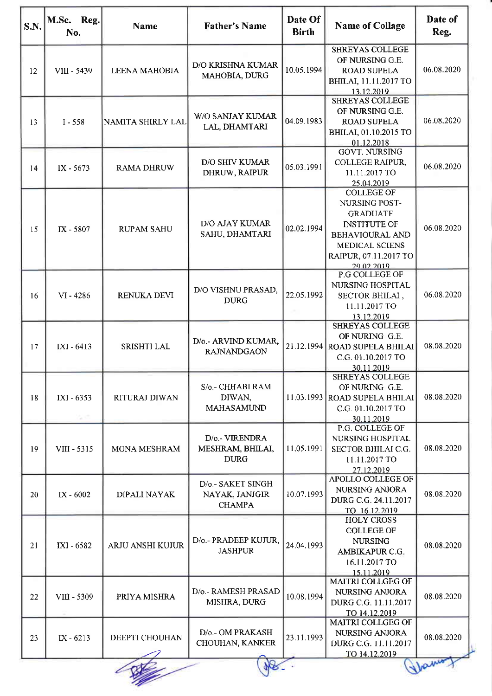| S.N.      | M.Sc. Reg.<br>No. | <b>Name</b>       | <b>Father's Name</b>                                 | Date Of<br><b>Birth</b> | <b>Name of Collage</b>                                                                                                                                          | Date of<br>Reg. |  |  |  |
|-----------|-------------------|-------------------|------------------------------------------------------|-------------------------|-----------------------------------------------------------------------------------------------------------------------------------------------------------------|-----------------|--|--|--|
| 12        | VIII - 5439       | LEENA MAHOBIA     | D/O KRISHNA KUMAR<br>MAHOBIA, DURG                   | 10.05.1994              | <b>SHREYAS COLLEGE</b><br>OF NURSING G.E.<br><b>ROAD SUPELA</b><br>BHILAI, 11.11.2017 TO<br>13.12.2019                                                          | 06.08.2020      |  |  |  |
| 13        | $I - 558$         | NAMITA SHIRLY LAL | W/O SANJAY KUMAR<br>LAL, DHAMTARI                    | 04.09.1983              | <b>SHREYAS COLLEGE</b><br>OF NURSING G.E.<br><b>ROAD SUPELA</b><br>BHILAI, 01.10.2015 TO<br>01.12.2018                                                          | 06.08.2020      |  |  |  |
| 14        | IX - 5673         | <b>RAMA DHRUW</b> | <b>D/O SHIV KUMAR</b><br>DHRUW, RAIPUR               | 05.03.1991              | <b>GOVT. NURSING</b><br>COLLEGE RAIPUR,<br>11.11.2017 TO<br>25.04.2019                                                                                          | 06.08.2020      |  |  |  |
| 15        | IX - 5807         | <b>RUPAM SAHU</b> | <b>D/O AJAY KUMAR</b><br>SAHU, DHAMTARI              | 02.02.1994              | <b>COLLEGE OF</b><br>NURSING POST-<br><b>GRADUATE</b><br><b>INSTITUTE OF</b><br><b>BEHAVIOURAL AND</b><br>MEDICAL SCIENS<br>RAIPUR, 07.11.2017 TO<br>29.02.2019 | 06.08.2020      |  |  |  |
| 16        | $VI - 4286$       | RENUKA DEVI       | D/O VISHNU PRASAD,<br><b>DURG</b>                    | 22.05.1992              | P.G COLLEGE OF<br>NURSING HOSPITAL<br>SECTOR BHILAI,<br>11.11.2017 TO<br>13.12.2019                                                                             | 06.08.2020      |  |  |  |
| 17        | IXI - 6413        | SRISHTI LAL       | D/o.- ARVIND KUMAR,<br><b>RAJNANDGAON</b>            |                         | <b>SHREYAS COLLEGE</b><br>OF NURING G.E.<br>21.12.1994 ROAD SUPELA BHILAI<br>C.G. 01.10.2017 TO<br>30.11.2019                                                   | 08.08.2020      |  |  |  |
| <b>18</b> | IXI - 6353        | RITURAJ DIWAN     | S/o.- CHHABI RAM<br>DIWAN,<br><b>MAHASAMUND</b>      |                         | <b>SHREYAS COLLEGE</b><br>OF NURING G.E.<br>11.03.1993 ROAD SUPELA BHILAI<br>C.G. 01.10.2017 TO<br>30.11.2019                                                   | 08.08.2020      |  |  |  |
| 19        | VIII - 5315       | MONA MESHRAM      | D/o.- VIRENDRA<br>MESHRAM, BHILAI,<br><b>DURG</b>    | 11,05.1991              | P.G. COLLEGE OF<br>NURSING HOSPITAL<br>SECTOR BHILAI C.G.<br>11.11.2017 TO<br>27.12.2019                                                                        | 08.08.2020      |  |  |  |
| 20        | IX - 6002         | DIPALI NAYAK      | D/o.- SAKET SINGH<br>NAYAK, JANJGIR<br><b>CHAMPA</b> | 10.07.1993              | APOLLO COLLEGE OF<br>NURSING ANJORA<br>DURG C.G. 24.11.2017<br>TO 16.12.2019                                                                                    | 08.08.2020      |  |  |  |
| 21        | IXI - 6582        | ARJU ANSHI KUJUR  | D/o.- PRADEEP KUJUR,<br><b>JASHPUR</b>               | 24.04.1993              | <b>HOLY CROSS</b><br><b>COLLEGE OF</b><br><b>NURSING</b><br><b>AMBIKAPUR C.G.</b><br>16.11.2017 TO<br>15.11.2019                                                | 08.08.2020      |  |  |  |
| 22        | VIII - 5309       | PRIYA MISHRA      | D/o.- RAMESH PRASAD<br>MISHRA, DURG                  | 10.08.1994              | MAITRI COLLGEG OF<br>NURSING ANJORA<br>DURG C.G. 11.11.2017<br>TO 14.12.2019                                                                                    | 08.08.2020      |  |  |  |
| 23        | IX - 6213         | DEEPTI CHOUHAN    | D/o.- OM PRAKASH<br>CHOUHAN, KANKER                  | 23.11.1993              | MAITRI COLLGEG OF<br>NURSING ANJORA<br>DURG C.G. 11.11.2017<br>TO 14.12.2019                                                                                    | 08.08.2020      |  |  |  |
|           |                   |                   |                                                      |                         |                                                                                                                                                                 |                 |  |  |  |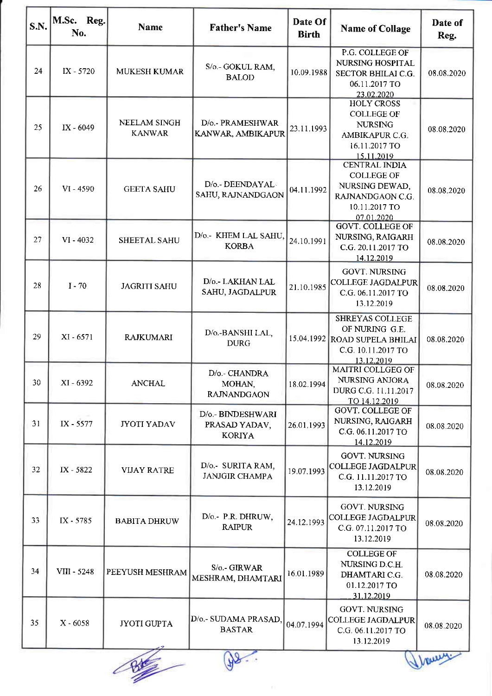| S.N. | M.Sc.<br>Reg.<br>No. | Name                          | <b>Father's Name</b>                                | Date Of<br><b>Birth</b> | <b>Name of Collage</b>                                                                                           | Date of<br>Reg. |
|------|----------------------|-------------------------------|-----------------------------------------------------|-------------------------|------------------------------------------------------------------------------------------------------------------|-----------------|
| 24   | IX - 5720            | <b>MUKESH KUMAR</b>           | S/o - GOKUL RAM,<br><b>BALOD</b>                    | 10.09.1988              | P.G. COLLEGE OF<br>NURSING HOSPITAL<br>SECTOR BHILAI C.G.<br>06.11.2017 TO<br>23.02.2020                         | 08.08.2020      |
| 25   | IX - 6049            | NEELAM SINGH<br><b>KANWAR</b> | D/o.- PRAMESHWAR<br>KANWAR, AMBIKAPUR               | 23.11.1993              | <b>HOLY CROSS</b><br><b>COLLEGE OF</b><br><b>NURSING</b><br><b>AMBIKAPUR C.G.</b><br>16.11.2017 TO<br>15.11.2019 | 08.08.2020      |
| 26   | VI-4590              | <b>GEETA SAHU</b>             | D/o.- DEENDAYAL-<br>SAHU, RAJNANDGAON               | 04.11.1992              | <b>CENTRAL INDIA</b><br><b>COLLEGE OF</b><br>NURSING DEWAD,<br>RAJNANDGAON C.G.<br>10.11.2017 TO<br>07.01.2020   | 08.08.2020      |
| 27   | $VI - 4032$          | SHEETAL SAHU                  | D/o.- KHEM LAL SAHU.<br><b>KORBA</b>                | 24.10.1991              | <b>GOVT. COLLEGE OF</b><br>NURSING, RAIGARH<br>C.G. 20.11.2017 TO<br>14.12.2019                                  | 08.08.2020      |
| 28   | $I - 70$             | <b>JAGRITI SAHU</b>           | D/o.-LAKHAN LAL<br>SAHU, JAGDALPUR                  | 21.10.1985              | <b>GOVT. NURSING</b><br><b>COLLEGE JAGDALPUR</b><br>C.G. 06.11.2017 TO<br>13.12.2019                             | 08.08.2020      |
| 29   | XI - 6571            | <b>RAJKUMARI</b>              | D/o.-BANSHI LAL,<br><b>DURG</b>                     |                         | <b>SHREYAS COLLEGE</b><br>OF NURING G.E.<br>15.04.1992 ROAD SUPELA BHILAI<br>C.G. 10.11.2017 TO<br>13.12.2019    | 08.08.2020      |
| 30   | XI - 6392            | <b>ANCHAL</b>                 | D/o.- CHANDRA<br>MOHAN,<br><b>RAJNANDGAON</b>       | 18.02.1994              | MAITRI COLLGEG OF<br>NURSING ANJORA<br>DURG C.G. 11.11.2017<br>TO 14.12.2019                                     | 08.08.2020      |
| 31   | IX - 5577            | <b>JYOTI YADAV</b>            | D/o.- BINDESHWARI<br>PRASAD YADAV,<br><b>KORIYA</b> | 26.01.1993              | <b>GOVT. COLLEGE OF</b><br>NURSING, RAIGARH<br>C.G. 06.11.2017 TO<br>14.12.2019                                  | 08.08.2020      |
| 32   | IX - 5822            | <b>VIJAY RATRE</b>            | D/o.- SURITA RAM,<br><b>JANJGIR CHAMPA</b>          | 19.07.1993              | <b>GOVT. NURSING</b><br><b>COLLEGE JAGDALPUR</b><br>C.G. 11.11.2017 TO<br>13.12.2019                             | 08.08.2020      |
| 33   | IX - 5785            | <b>BABITA DHRUW</b>           | D/o.- P.R. DHRUW,<br><b>RAIPUR</b>                  | 24.12.1993              | <b>GOVT. NURSING</b><br><b>COLLEGE JAGDALPUR</b><br>C.G. 07.11.2017 TO<br>13.12.2019                             | 08.08.2020      |
| 34   | VIII - 5248          | PEEYUSH MESHRAM               | S/o.- GIRWAR<br>MESHRAM, DHAMTARI                   | 16.01.1989              | <b>COLLEGE OF</b><br>NURSING D.C.H.<br>DHAMTARI C.G.<br>01.12.2017 TO<br>31.12.2019                              | 08.08.2020      |
| 35   | $X - 6058$           | <b>JYOTI GUPTA</b>            | D/o.- SUDAMA PRASAD,<br><b>BASTAR</b>               | 04.07.1994              | <b>GOVT. NURSING</b><br><b>COLLEGE JAGDALPUR</b><br>C.G. 06.11.2017 TO<br>13.12.2019                             | 08.08.2020      |
|      |                      |                               |                                                     |                         |                                                                                                                  |                 |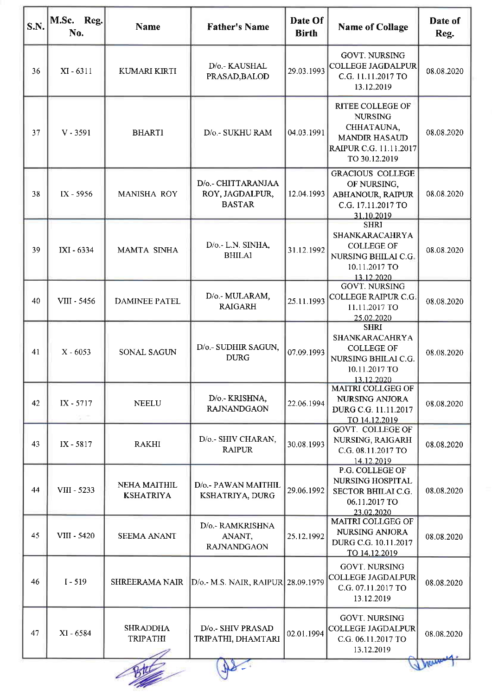| S.N. | M.Sc.<br>Reg.<br>No. | Name                               | <b>Father's Name</b>                                   | Date Of<br><b>Birth</b> | <b>Name of Collage</b>                                                                                                     | Date of<br>Reg. |
|------|----------------------|------------------------------------|--------------------------------------------------------|-------------------------|----------------------------------------------------------------------------------------------------------------------------|-----------------|
| 36   | $XI - 6311$          | <b>KUMARI KIRTI</b>                | D/o.- KAUSHAL<br>PRASAD, BALOD                         | 29.03.1993              | <b>GOVT. NURSING</b><br><b>COLLEGE JAGDALPUR</b><br>C.G. 11.11.2017 TO<br>13.12.2019                                       | 08.08.2020      |
| 37   | $V - 3591$           | <b>BHARTI</b>                      | D/o.- SUKHU RAM                                        | 04.03.1991              | <b>RITEE COLLEGE OF</b><br><b>NURSING</b><br>CHHATAUNA,<br><b>MANDIR HASAUD</b><br>RAIPUR C.G. 11.11.2017<br>TO 30.12.2019 | 08.08.2020      |
| 38   | IX - 5956            | <b>MANISHA ROY</b>                 | D/o.- CHITTARANJAA<br>ROY, JAGDALPUR,<br><b>BASTAR</b> | 12.04.1993              | <b>GRACIOUS COLLEGE</b><br>OF NURSING,<br>ABHANOUR, RAIPUR<br>C.G. 17.11.2017 TO<br>31,10.2019                             | 08.08.2020      |
| 39   | IXI - 6334           | MAMTA SINHA                        | D/o.-L.N. SINHA,<br><b>BHILAI</b>                      | 31.12.1992              | <b>SHRI</b><br>SHANKARACAHRYA<br><b>COLLEGE OF</b><br>NURSING BHILAI C.G.<br>10.11.2017 TO<br>13.12.2020                   | 08.08.2020      |
| 40   | VIII - 5456          | <b>DAMINEE PATEL</b>               | D/o.- MULARAM,<br><b>RAIGARH</b>                       | 25.11.1993              | <b>GOVT. NURSING</b><br><b>COLLEGE RAIPUR C.G.</b><br>11.11.2017 TO<br>25.02.2020                                          | 08.08.2020      |
| 41   | $X - 6053$           | <b>SONAL SAGUN</b>                 | D/o.- SUDHIR SAGUN,<br><b>DURG</b>                     | 07.09.1993              | <b>SHRI</b><br>SHANKARACAHRYA<br><b>COLLEGE OF</b><br>NURSING BHILAI C.G.<br>10.11.2017 TO<br>13.12.2020                   | 08.08.2020      |
| 42   | IX - 5717            | <b>NEELU</b>                       | D/o.- KRISHNA,<br><b>RAJNANDGAON</b>                   | 22.06.1994              | <b>MAITRI COLLGEG OF</b><br>NURSING ANJORA<br>DURG C.G. 11.11.2017<br>TO 14.12.2019                                        | 08.08.2020      |
| 43   | IX - 5817            | <b>RAKHI</b>                       | D/o.- SHIV CHARAN,<br><b>RAIPUR</b>                    | 30.08.1993              | <b>GOVT. COLLEGE OF</b><br>NURSING, RAIGARH<br>C.G. 08.11.2017 TO<br>14.12.2019                                            | 08.08.2020      |
| 44   | VIII - 5233          | NEHA MAITHIL<br><b>KSHATRIYA</b>   | D/o - PAWAN MAITHIL<br>KSHATRIYA, DURG                 | 29.06.1992              | P.G. COLLEGE OF<br>NURSING HOSPITAL<br><b>SECTOR BHILAI C.G.</b><br>06.11.2017 TO<br>23.02.2020                            | 08.08.2020      |
| 45   | VIII - 5420          | <b>SEEMA ANANT</b>                 | D/o.- RAMKRISHNA<br>ANANT,<br><b>RAJNANDGAON</b>       | 25.12.1992              | MAITRI COLLGEG OF<br>NURSING ANJORA<br>DURG C.G. 10.11.2017<br>TO 14.12.2019                                               | 08.08.2020      |
| 46   | $I - 519$            | SHREERAMA NAIR                     | D/o.- M.S. NAIR, RAIPUR 28.09.1979                     |                         | <b>GOVT. NURSING</b><br><b>COLLEGE JAGDALPUR</b><br>C.G. 07.11.2017 TO<br>13.12.2019                                       | 08.08.2020      |
| 47   | XI - 6584            | <b>SHRADDHA</b><br><b>TRIPATHI</b> | D/o.- SHIV PRASAD<br>TRIPATHI, DHAMTARI                | 02.01.1994              | <b>GOVT. NURSING</b><br><b>COLLEGE JAGDALPUR</b><br>C.G. 06.11.2017 TO<br>13.12.2019                                       | 08.08.2020      |
|      |                      |                                    |                                                        |                         |                                                                                                                            |                 |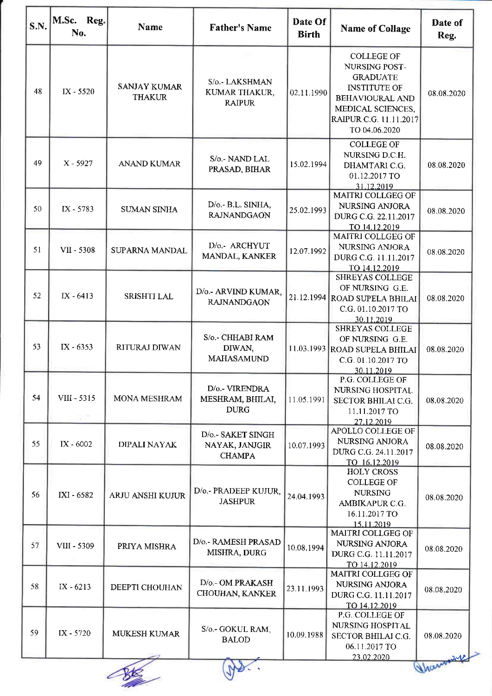| S.N. | M.Sc.<br>Reg.<br>No. | <b>Name</b>                          | <b>Father's Name</b>                                 | Date Of<br><b>Birth</b> | <b>Name of Collage</b>                                                                                                                                                 | Date of<br>Reg. |
|------|----------------------|--------------------------------------|------------------------------------------------------|-------------------------|------------------------------------------------------------------------------------------------------------------------------------------------------------------------|-----------------|
| 48   | IX - 5520            | <b>SANJAY KUMAR</b><br><b>THAKUR</b> | S/o.-LAKSHMAN<br>KUMAR THAKUR,<br><b>RAIPUR</b>      | 02.11.1990              | <b>COLLEGE OF</b><br>NURSING POST-<br><b>GRADUATE</b><br><b>INSTITUTE OF</b><br><b>BEHAVIOURAL AND</b><br>MEDICAL SCIENCES,<br>RAIPUR C.G. 11.11.2017<br>TO 04.06.2020 | 08.08.2020      |
| 49   | $X - 5927$           | <b>ANAND KUMAR</b>                   | S/o.- NAND LAL<br>PRASAD, BIHAR                      | 15.02.1994              | <b>COLLEGE OF</b><br>NURSING D.C.H.<br>DHAMTARI C.G.<br>01.12.2017 TO<br>31.12.2019                                                                                    | 08.08.2020      |
| 50   | IX - 5783            | <b>SUMAN SINHA</b>                   | D/o.- B.L. SINHA,<br><b>RAJNANDGAON</b>              | 25.02.1993              | MAITRI COLLGEG OF<br><b>NURSING ANJORA</b><br>DURG C.G. 22.11.2017<br>TO 14.12.2019                                                                                    | 08.08.2020      |
| 51   | VII - 5308           | SUPARNA MANDAL                       | D/o.- ARCHYUT<br>MANDAL, KANKER                      | 12.07.1992              | <b>MAITRI COLLGEG OF</b><br>NURSING ANJORA<br>DURG C.G. 11.11.2017<br>TO 14.12.2019                                                                                    | 08.08.2020      |
| 52   | $IX - 6413$          | <b>SRISHTI LAL</b>                   | D/o - ARVIND KUMAR,<br><b>RAJNANDGAON</b>            |                         | <b>SHREYAS COLLEGE</b><br>OF NURSING G.E.<br>21.12.1994 ROAD SUPELA BHILAI<br>C.G. 01.10.2017 TO<br>30.11.2019                                                         | 08.08.2020      |
| 53   | $IX - 6353$          | RITURAJ DIWAN                        | S/o.- CHHABI RAM<br>DIWAN,<br><b>MAHASAMUND</b>      |                         | <b>SHREYAS COLLEGE</b><br>OF NURSING G.E.<br>11.03.1993 ROAD SUPELA BHILAI<br>C.G. 01.10.2017 TO<br>30.11.2019                                                         | 08.08.2020      |
| 54   | VIII - 5315          | <b>MONA MESHRAM</b>                  | D/o.- VIRENDRA<br>MESHRAM, BHILAI,<br><b>DURG</b>    | 11.05.1991              | P.G. COLLEGE OF<br>NURSING HOSPITAL<br><b>SECTOR BHILAI C.G.</b><br>11.11.2017 TO<br>27.12.2019                                                                        | 08.08.2020      |
| 55   | IX - 6002            | <b>DIPALI NAYAK</b>                  | D/o.- SAKET SINGH<br>NAYAK, JANJGIR<br><b>CHAMPA</b> | 10.07.1993              | APOLLO COLLEGE OF<br>NURSING ANJORA<br>DURG C.G. 24.11.2017<br>TO 16.12.2019                                                                                           | 08.08.2020      |
| 56   | IXI - 6582           | ARJU ANSHI KUJUR                     | D/o.- PRADEEP KUJUR,<br><b>JASHPUR</b>               | 24.04.1993              | <b>HOLY CROSS</b><br><b>COLLEGE OF</b><br><b>NURSING</b><br>AMBIKAPUR C.G.<br>16.11.2017 TO<br>15.11.2019                                                              | 08.08.2020      |
| 57   | VIII - 5309          | PRIYA MISHRA                         | D/o.- RAMESH PRASAD<br>MISHRA, DURG                  | 10.08.1994              | MAITRI COLLGEG OF<br><b>NURSING ANJORA</b><br>DURG C.G. 11.11.2017<br>TO 14.12.2019                                                                                    | 08.08.2020      |
| 58   | $IX - 6213$          | <b>DEEPTI CHOUHAN</b>                | D/o.- OM PRAKASH<br>CHOUHAN, KANKER                  | 23.11.1993              | MAITRI COLLGEG OF<br>NURSING ANJORA<br>DURG C.G. 11.11.2017<br>TO 14.12.2019                                                                                           | 08.08.2020      |
| 59   | IX - 5720            | <b>MUKESH KUMAR</b>                  | S/o.- GOKUL RAM,<br><b>BALOD</b>                     | 10.09.1988              | P.G. COLLEGE OF<br>NURSING HOSPITAL<br>SECTOR BHILAI C.G.<br>06.11.2017 TO<br>23.02.2020                                                                               | 08.08.2020      |
|      |                      |                                      |                                                      |                         |                                                                                                                                                                        | Vlace           |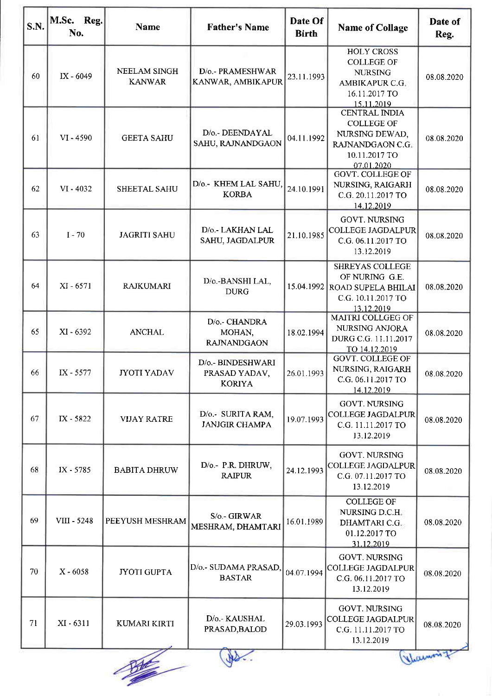| S.N. | M.Sc.<br>Reg.<br>No. | <b>Name</b>                   | <b>Father's Name</b>                                | Date Of<br><b>Birth</b> | <b>Name of Collage</b>                                                                                                | Date of<br>Reg. |  |  |  |
|------|----------------------|-------------------------------|-----------------------------------------------------|-------------------------|-----------------------------------------------------------------------------------------------------------------------|-----------------|--|--|--|
| 60   | IX - 6049            | NEELAM SINGH<br><b>KANWAR</b> | D/o.- PRAMESHWAR<br>KANWAR, AMBIKAPUR               | 23.11.1993              | <b>HOLY CROSS</b><br><b>COLLEGE OF</b><br><b>NURSING</b><br>AMBIKAPUR C.G.<br>16.11.2017 TO<br>15.11.2019             | 08.08.2020      |  |  |  |
| 61   | $VI - 4590$          | <b>GEETA SAHU</b>             | D/o.- DEENDAYAL<br>SAHU, RAJNANDGAON                | 04.11.1992              | <b>CENTRAL INDIA</b><br><b>COLLEGE OF</b><br>NURSING DEWAD,<br><b>RAJNANDGAON C.G.</b><br>10.11.2017 TO<br>07.01.2020 | 08.08.2020      |  |  |  |
| 62   | $VI - 4032$          | SHEETAL SAHU                  | D/o. KHEM LAL SAHU,<br><b>KORBA</b>                 | 24.10.1991              | <b>GOVT. COLLEGE OF</b><br>NURSING, RAIGARH<br>C.G. 20.11.2017 TO<br>14.12.2019                                       | 08.08.2020      |  |  |  |
| 63   | $I - 70$             | <b>JAGRITI SAHU</b>           | D/o.- LAKHAN LAL<br>SAHU, JAGDALPUR                 | 21.10.1985              | <b>GOVT. NURSING</b><br><b>COLLEGE JAGDALPUR</b><br>C.G. 06.11.2017 TO<br>13.12.2019                                  | 08.08.2020      |  |  |  |
| 64   | XI - 6571            | <b>RAJKUMARI</b>              | D/o.-BANSHI LAL,<br><b>DURG</b>                     |                         | <b>SHREYAS COLLEGE</b><br>OF NURING G.E.<br>15.04.1992 ROAD SUPELA BHILAI<br>C.G. 10.11.2017 TO<br>13.12.2019         | 08.08.2020      |  |  |  |
| 65   | XI - 6392            | <b>ANCHAL</b>                 | D/o.- CHANDRA<br>MOHAN,<br><b>RAJNANDGAON</b>       | 18.02.1994              | MAITRI COLLGEG OF<br>NURSING ANJORA<br>DURG C.G. 11.11.2017<br>TO 14.12.2019                                          | 08.08.2020      |  |  |  |
| 66   | IX - 5577            | <b>JYOTI YADAV</b>            | D/o.- BINDESHWARI<br>PRASAD YADAV,<br><b>KORIYA</b> | 26.01.1993              | <b>GOVT. COLLEGE OF</b><br>NURSING, RAIGARH<br>C.G. 06.11.2017 TO<br>14.12.2019                                       | 08.08.2020      |  |  |  |
| 67   | IX - 5822            | <b>VIJAY RATRE</b>            | D/o.- SURITA RAM,<br><b>JANJGIR CHAMPA</b>          | 19.07.1993              | <b>GOVT. NURSING</b><br><b>COLLEGE JAGDALPUR</b><br>C.G. 11.11.2017 TO<br>13.12.2019                                  | 08.08.2020      |  |  |  |
| 68   | IX - 5785            | <b>BABITA DHRUW</b>           | D/o - P.R. DHRUW,<br><b>RAIPUR</b>                  | 24.12.1993              | <b>GOVT. NURSING</b><br><b>COLLEGE JAGDALPUR</b><br>C.G. 07.11.2017 TO<br>13.12.2019                                  | 08.08.2020      |  |  |  |
| 69   | VIII - 5248          | PEEYUSH MESHRAM               | S/o.- GIRWAR<br>MESHRAM, DHAMTARI                   | 16.01.1989              | <b>COLLEGE OF</b><br>NURSING D.C.H.<br>DHAMTARI C.G.<br>01.12.2017 TO<br>31.12.2019                                   | 08.08.2020      |  |  |  |
| 70   | $X - 6058$           | <b>JYOTI GUPTA</b>            | D/o.- SUDAMA PRASAD,<br><b>BASTAR</b>               | 04.07.1994              | <b>GOVT. NURSING</b><br><b>COLLEGE JAGDALPUR</b><br>C.G. 06.11.2017 TO<br>13.12.2019                                  | 08.08.2020      |  |  |  |
| 71   | XI - 6311            | KUMARI KIRTI                  | D/o.- KAUSHAL<br>PRASAD, BALOD                      | 29.03.1993              | <b>GOVT. NURSING</b><br><b>COLLEGE JAGDALPUR</b><br>C.G. 11.11.2017 TO<br>13.12.2019                                  | 08.08.2020      |  |  |  |
|      | Vlacemon!            |                               |                                                     |                         |                                                                                                                       |                 |  |  |  |

D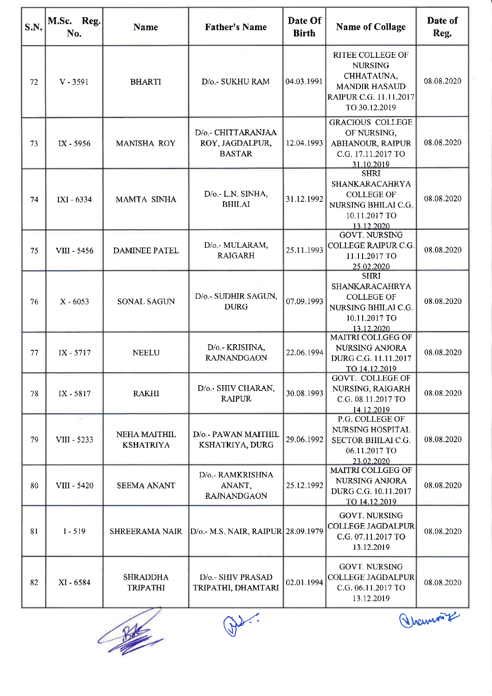| S.N. | M.Sc.<br>Reg.<br>No. | Name                                    | <b>Father's Name</b>                                   | Date Of<br><b>Birth</b> | Name of Collage                                                                                                     | Date of<br>Reg. |
|------|----------------------|-----------------------------------------|--------------------------------------------------------|-------------------------|---------------------------------------------------------------------------------------------------------------------|-----------------|
| 72   | $V - 3591$           | <b>BHARTI</b>                           | D/o - SUKHU RAM                                        | 04.03.1991              | RITEE COLLEGE OF<br><b>NURSING</b><br>CHHATAUNA,<br><b>MANDIR HASAUD</b><br>RAIPUR C.G. 11.11.2017<br>TO 30.12.2019 | 08.08.2020      |
| 73   | IX - 5956            | MANISHA ROY                             | D/o.- CHITTARANJAA<br>ROY, JAGDALPUR,<br><b>BASTAR</b> | 12.04.1993              | <b>GRACIOUS COLLEGE</b><br>OF NURSING,<br>ABHANOUR, RAIPUR<br>C.G. 17.11.2017 TO<br>31.10.2019                      | 08.08.2020      |
| 74   | IXI - 6334           | <b>MAMTA SINHA</b>                      | D/o.- L.N. SINHA,<br><b>BHILAI</b>                     | 31.12.1992              | <b>SHRI</b><br>SHANKARACAHRYA<br><b>COLLEGE OF</b><br>NURSING BHILAI C.G.<br>10.11.2017 TO<br>13.12.2020            | 08.08.2020      |
| 75   | VIII - 5456          | <b>DAMINEE PATEL</b>                    | D/o.- MULARAM,<br><b>RAIGARH</b>                       | 25.11.1993              | <b>GOVT. NURSING</b><br><b>COLLEGE RAIPUR C.G.</b><br>11.11.2017 TO<br>25.02.2020                                   | 08.08.2020      |
| 76   | $X - 6053$           | SONAL SAGUN                             | D/o.- SUDHIR SAGUN,<br><b>DURG</b>                     | 07.09.1993              | <b>SHRI</b><br>SHANKARACAHRYA<br><b>COLLEGE OF</b><br>NURSING BHILAI C.G.<br>10.11.2017 TO<br>13.12.2020            | 08.08.2020      |
| 77   | $IX - 5717$          | <b>NEELU</b>                            | D/o.- KRISHNA,<br><b>RAJNANDGAON</b>                   | 22.06.1994              | <b>MAITRI COLLGEG OF</b><br>NURSING ANJORA<br>DURG C.G. 11.11.2017<br>TO 14.12.2019                                 | 08.08.2020      |
| 78   | IX - 5817            | <b>RAKHI</b>                            | D/o.- SHIV CHARAN,<br><b>RAIPUR</b>                    | 30.08.1993              | GOVT. COLLEGE OF<br>NURSING, RAIGARH<br>C.G. 08.11.2017 TO<br>14.12.2019                                            | 08.08.2020      |
| 79   | VIII - 5233          | <b>NEHA MAITHIL</b><br><b>KSHATRIYA</b> | D/o.- PAWAN MAITHIL<br>KSHATRIYA, DURG                 | 29.06.1992              | P.G. COLLEGE OF<br>NURSING HOSPITAL<br><b>SECTOR BHILAI C.G.</b><br>06.11.2017 TO<br>23.02.2020                     | 08.08.2020      |
| 80   | VIII - 5420          | <b>SEEMA ANANT</b>                      | D/o.- RAMKRISHNA<br>ANANT,<br><b>RAJNANDGAON</b>       | 25.12.1992              | MAITRI COLLGEG OF<br><b>NURSING ANJORA</b><br>DURG C.G. 10.11.2017<br>TO 14.12.2019                                 | 08.08.2020      |
| 81   | $I - 519$            | SHREERAMA NAIR                          | D/o.- M.S. NAIR, RAIPUR 28.09.1979                     |                         | <b>GOVT. NURSING</b><br><b>COLLEGE JAGDALPUR</b><br>C.G. 07.11.2017 TO<br>13.12.2019                                | 08.08.2020      |
| 82   | XI - 6584            | <b>SHRADDHA</b><br><b>TRIPATHI</b>      | D/o.- SHIV PRASAD<br>TRIPATHI, DHAMTARI                | 02.01.1994              | <b>GOVT. NURSING</b><br><b>COLLEGE JAGDALPUR</b><br>C.G. 06.11.2017 TO<br>13.12.2019                                | 08.08.2020      |
|      |                      |                                         |                                                        |                         |                                                                                                                     | (Vicenion 7)    |

**Starting** ۷

Channon 7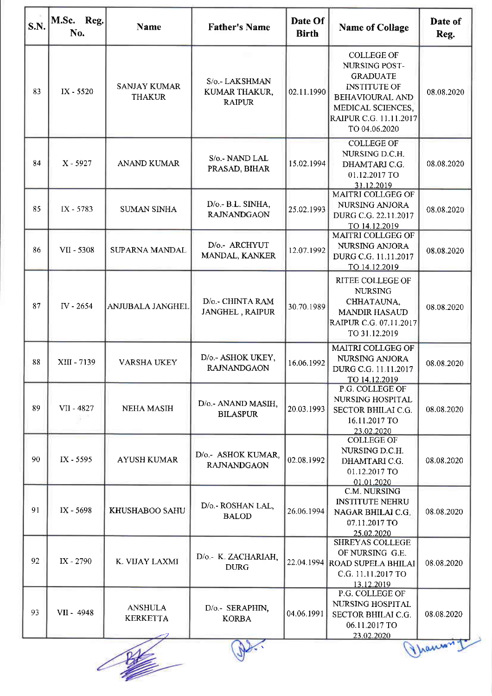| S.N. | M.Sc. Reg.<br>No. | <b>Name</b>                          | <b>Father's Name</b>                             | Date Of<br><b>Birth</b> | <b>Name of Collage</b>                                                                                                                                          | Date of<br>Reg. |
|------|-------------------|--------------------------------------|--------------------------------------------------|-------------------------|-----------------------------------------------------------------------------------------------------------------------------------------------------------------|-----------------|
| 83   | IX - 5520         | <b>SANJAY KUMAR</b><br><b>THAKUR</b> | S/o.- LAKSHMAN<br>KUMAR THAKUR,<br><b>RAIPUR</b> | 02.11.1990              | <b>COLLEGE OF</b><br>NURSING POST-<br><b>GRADUATE</b><br><b>INSTITUTE OF</b><br>BEHAVIOURAL AND<br>MEDICAL SCIENCES,<br>RAIPUR C.G. 11.11.2017<br>TO 04.06.2020 | 08.08.2020      |
| 84   | X - 5927          | <b>ANAND KUMAR</b>                   | S/o.- NAND LAL<br>PRASAD, BIHAR                  | 15.02.1994              | <b>COLLEGE OF</b><br>NURSING D.C.H.<br>DHAMTARI C.G.<br>01.12.2017 TO<br>31.12.2019                                                                             | 08.08.2020      |
| 85   | IX - 5783         | <b>SUMAN SINHA</b>                   | D/o.- B.L. SINHA,<br><b>RAJNANDGAON</b>          | 25.02.1993              | MAITRI COLLGEG OF<br><b>NURSING ANJORA</b><br>DURG C.G. 22.11.2017<br>TO 14.12.2019                                                                             | 08.08.2020      |
| 86   | VII - 5308        | SUPARNA MANDAL                       | D/o.- ARCHYUT<br>MANDAL, KANKER                  | 12.07.1992              | MAITRI COLLGEG OF<br>NURSING ANJORA<br>DURG C.G. 11.11.2017<br>TO 14.12.2019                                                                                    | 08.08.2020      |
| 87   | IV - 2654         | ANJUBALA JANGHEL                     | D/o.- CHINTA RAM<br>JANGHEL, RAIPUR              | 30.70.1989              | <b>RITEE COLLEGE OF</b><br><b>NURSING</b><br>CHHATAUNA,<br><b>MANDIR HASAUD</b><br>RAIPUR C.G. 07.11.2017<br>TO 31.12.2019                                      | 08.08.2020      |
| 88   | XIII - 7139       | <b>VARSHA UKEY</b>                   | D/o.- ASHOK UKEY,<br><b>RAJNANDGAON</b>          | 16.06.1992              | MAITRI COLLGEG OF<br><b>NURSING ANJORA</b><br>DURG C.G. 11.11.2017<br>TO 14.12.2019                                                                             | 08.08.2020      |
| 89   | VII - 4827        | <b>NEHA MASIH</b>                    | D/o.- ANAND MASIH,<br><b>BILASPUR</b>            | 20.03.1993              | P G. COLLEGE OF<br>NURSING HOSPITAL<br><b>SECTOR BHILAI C.G.</b><br>16.11.2017 TO<br>23.02.2020                                                                 | 08.08.2020      |
| 90   | IX - 5595         | <b>AYUSH KUMAR</b>                   | D/o - ASHOK KUMAR.<br><b>RAJNANDGAON</b>         | 02.08.1992              | <b>COLLEGE OF</b><br>NURSING D.C.H.<br>DHAMTARI C.G.<br>01.12.2017 TO<br>01.01.2020                                                                             | 08.08.2020      |
| 91   | IX - 5698         | KHUSHABOO SAHU                       | D/o.- ROSHAN LAL,<br><b>BALOD</b>                | 26.06.1994              | <b>C.M. NURSING</b><br><b>INSTITUTE NEHRU</b><br>NAGAR BHILAI C.G.<br>07.11.2017 TO<br>25.02.2020                                                               | 08.08.2020      |
| 92   | IX - 2790         | K. VIJAY LAXMI                       | D/o.- K. ZACHARIAH,<br><b>DURG</b>               |                         | <b>SHREYAS COLLEGE</b><br>OF NURSING G.E.<br>22.04.1994 ROAD SUPELA BHILAI<br>C.G. 11.11.2017 TO<br>13.12.2019                                                  | 08.08.2020      |
| 93   | VII - 4948        | <b>ANSHULA</b><br><b>KERKETTA</b>    | D/o.- SERAPHIN,<br><b>KORBA</b>                  | 04.06.1991              | P.G. COLLEGE OF<br>NURSING HOSPITAL<br>SECTOR BHILAI C.G.<br>06.11.2017 TO<br>23.02.2020                                                                        | 08.08.2020      |
|      |                   |                                      |                                                  |                         |                                                                                                                                                                 | Thanson         |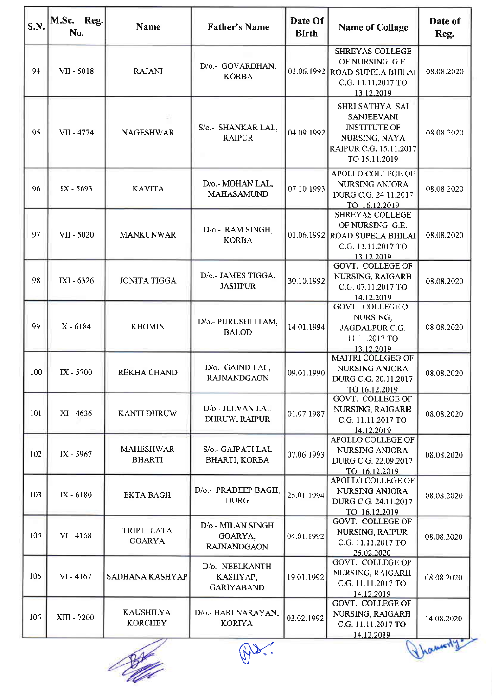| S.N. | M.Sc.<br>Reg.<br>No. | <b>Name</b>                        | <b>Father's Name</b>                               | Date Of<br><b>Birth</b> | <b>Name of Collage</b>                                                                                                  | Date of<br>Reg. |
|------|----------------------|------------------------------------|----------------------------------------------------|-------------------------|-------------------------------------------------------------------------------------------------------------------------|-----------------|
| 94   | VII - 5018           | <b>RAJANI</b>                      | D/o.- GOVARDHAN,<br><b>KORBA</b>                   |                         | <b>SHREYAS COLLEGE</b><br>OF NURSING G.E.<br>03.06.1992 ROAD SUPELA BHILAI<br>C.G. 11.11.2017 TO<br>13.12.2019          | 08.08.2020      |
| 95   | VII - 4774           | <b>NAGESHWAR</b>                   | S/o.- SHANKAR LAL,<br><b>RAIPUR</b>                | 04.09.1992              | SHRI SATHYA SAI<br><b>SANJEEVANI</b><br><b>INSTITUTE OF</b><br>NURSING, NAYA<br>RAIPUR C.G. 15.11.2017<br>TO 15.11.2019 | 08.08.2020      |
| 96   | IX - 5693            | <b>KAVITA</b>                      | D/o.- MOHAN LAL,<br>MAHASAMUND                     | 07.10.1993              | APOLLO COLLEGE OF<br><b>NURSING ANJORA</b><br>DURG C.G. 24.11.2017<br>TO 16.12.2019                                     | 08.08.2020      |
| 97   | VII - 5020           | <b>MANKUNWAR</b>                   | D/o.- RAM SINGH,<br><b>KORBA</b>                   |                         | <b>SHREYAS COLLEGE</b><br>OF NURSING G.E.<br>01.06.1992 ROAD SUPELA BHILAI<br>C.G. 11.11.2017 TO<br>13.12.2019          | 08.08.2020      |
| 98   | IXI - 6326           | <b>JONITA TIGGA</b>                | D/o.- JAMES TIGGA,<br><b>JASHPUR</b>               | 30.10.1992              | GOVT. COLLEGE OF<br>NURSING, RAIGARH<br>C.G. 07.11.2017 TO<br>14.12.2019                                                | 08.08.2020      |
| 99   | $X - 6184$           | <b>KHOMIN</b>                      | D/o.- PURUSHITTAM,<br><b>BALOD</b>                 | 14.01.1994              | <b>GOVT. COLLEGE OF</b><br>NURSING,<br>JAGDALPUR C.G.<br>11.11.2017 TO<br>13.12.2019                                    | 08.08.2020      |
| 100  | IX - 5700            | REKHA CHAND                        | D/o.- GAIND LAL,<br><b>RAJNANDGAON</b>             | 09.01.1990              | <b>MAITRI COLLGEG OF</b><br>NURSING ANJORA<br>DURG C.G. 20.11.2017<br>TO 16.12.2019                                     | 08.08.2020      |
| 101  | XI - 4636            | <b>KANTI DHRUW</b>                 | D/o.- JEEVAN LAL<br>DHRUW, RAIPUR                  | 01.07.1987              | <b>GOVT. COLLEGE OF</b><br>NURSING, RAIGARH<br>C.G. 11.11.2017 TO<br>14.12.2019                                         | 08.08.2020      |
| 102  | IX - 5967            | <b>MAHESHWAR</b><br><b>BHARTI</b>  | S/o.- GAJPATI LAL<br><b>BHARTI, KORBA</b>          | 07.06.1993              | APOLLO COLLEGE OF<br>NURSING ANJORA<br>DURG C.G. 22.09.2017<br>TO 16.12.2019                                            | 08.08.2020      |
| 103  | $IX - 6180$          | <b>EKTA BAGH</b>                   | D/o.- PRADEEP BAGH,<br><b>DURG</b>                 | 25.01.1994              | APOLLO COLLEGE OF<br>NURSING ANJORA<br>DURG C.G. 24.11.2017<br>TO 16.12.2019                                            | 08.08.2020      |
| 104  | $VI - 4168$          | TRIPTI LATA<br><b>GOARYA</b>       | D/o.- MILAN SINGH<br>GOARYA,<br><b>RAJNANDGAON</b> | 04.01.1992              | GOVT. COLLEGE OF<br>NURSING, RAIPUR<br>C.G. 11.11.2017 TO<br>25.02.2020                                                 | 08.08.2020      |
| 105  | $VI - 4167$          | SADHANA KASHYAP                    | D/o.- NEELKANTH<br>KASHYAP,<br><b>GARIYABAND</b>   | 19.01.1992              | <b>GOVT. COLLEGE OF</b><br>NURSING, RAIGARH<br>C.G. 11.11.2017 TO<br>14.12.2019                                         | 08.08.2020      |
| 106  | XIII - 7200          | <b>KAUSHILYA</b><br><b>KORCHEY</b> | D/o.- HARI NARAYAN,<br><b>KORIYA</b>               | 03.02.1992              | GOVT. COLLEGE OF<br>NURSING, RAIGARH<br>C.G. 11.11.2017 TO<br>14.12.2019                                                | 14.08.2020      |
|      |                      |                                    |                                                    |                         |                                                                                                                         | Thamonty        |

**States** 

(2)